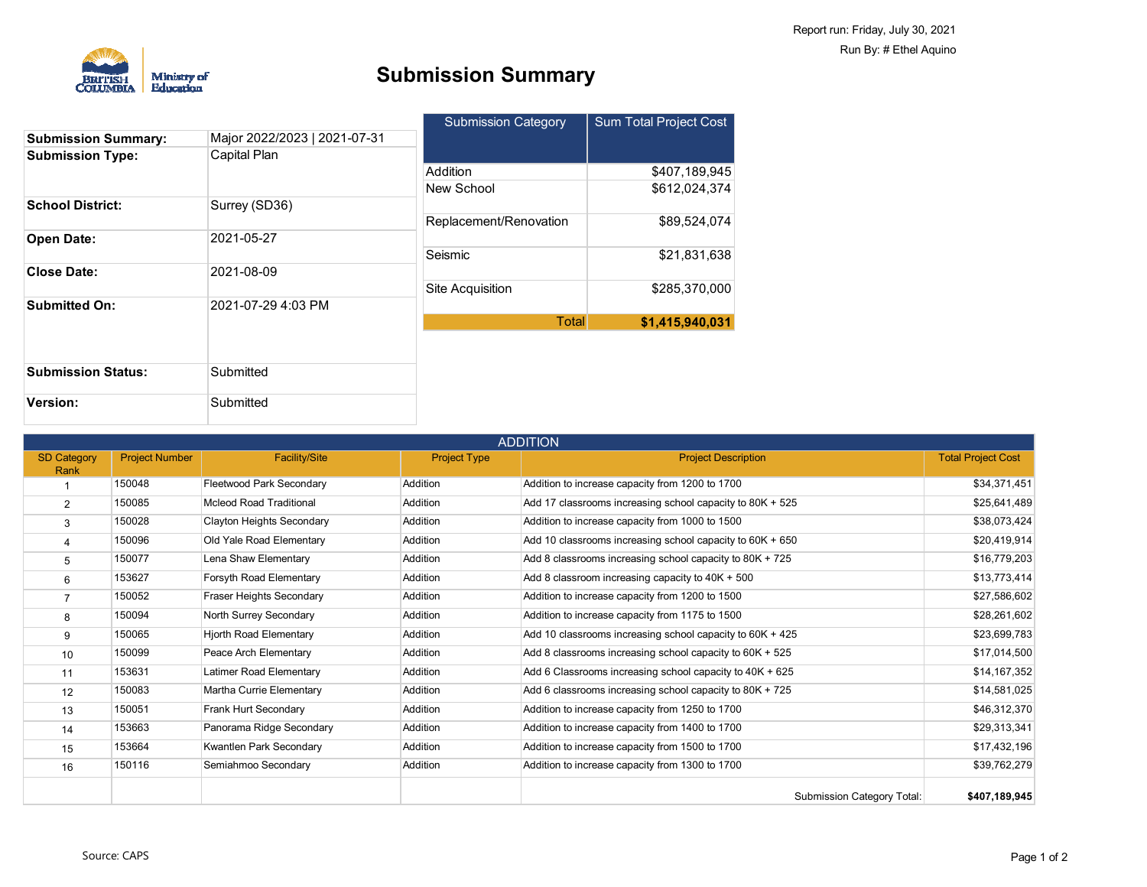

Submitted

### **Submission Summary**

|                            |                              | <b>Submission Category</b> | <b>Sum Total Project Cost</b> |  |
|----------------------------|------------------------------|----------------------------|-------------------------------|--|
| <b>Submission Summary:</b> | Major 2022/2023   2021-07-31 |                            |                               |  |
| <b>Submission Type:</b>    | Capital Plan                 |                            |                               |  |
|                            |                              | Addition                   | \$407,189,945                 |  |
|                            |                              | New School                 | \$612.024.374                 |  |
| <b>School District:</b>    | Surrey (SD36)                |                            |                               |  |
|                            |                              | Replacement/Renovation     | \$89,524,074                  |  |
| <b>Open Date:</b>          | 2021-05-27                   |                            |                               |  |
|                            |                              | Seismic                    | \$21,831,638                  |  |
| <b>Close Date:</b>         | 2021-08-09                   |                            |                               |  |
|                            |                              | Site Acquisition           | \$285,370,000                 |  |
| <b>Submitted On:</b>       | 2021-07-29 4:03 PM           |                            |                               |  |
|                            |                              | Total                      | \$1,415,940,031               |  |
|                            |                              |                            |                               |  |
|                            |                              |                            |                               |  |
| <b>Submission Status:</b>  | Submitted                    |                            |                               |  |

| <b>ADDITION</b>    |                       |                                  |                     |                                                             |                           |
|--------------------|-----------------------|----------------------------------|---------------------|-------------------------------------------------------------|---------------------------|
| <b>SD Category</b> | <b>Project Number</b> | <b>Facility/Site</b>             | <b>Project Type</b> | <b>Project Description</b>                                  | <b>Total Project Cost</b> |
| Rank               |                       |                                  |                     |                                                             |                           |
|                    | 150048                | Fleetwood Park Secondary         | Addition            | Addition to increase capacity from 1200 to 1700             | \$34,371,451              |
| $\overline{2}$     | 150085                | <b>Mcleod Road Traditional</b>   | Addition            | Add 17 classrooms increasing school capacity to 80K + 525   | \$25,641,489              |
| 3                  | 150028                | <b>Clayton Heights Secondary</b> | Addition            | Addition to increase capacity from 1000 to 1500             | \$38,073,424              |
| 4                  | 150096                | Old Yale Road Elementary         | Addition            | Add 10 classrooms increasing school capacity to $60K + 650$ | \$20,419,914              |
| 5                  | 150077                | Lena Shaw Elementary             | Addition            | Add 8 classrooms increasing school capacity to 80K + 725    | \$16,779,203              |
| 6                  | 153627                | Forsyth Road Elementary          | Addition            | Add 8 classroom increasing capacity to 40K + 500            | \$13,773,414              |
|                    | 150052                | Fraser Heights Secondary         | Addition            | Addition to increase capacity from 1200 to 1500             | \$27,586,602              |
| 8                  | 150094                | North Surrey Secondary           | Addition            | Addition to increase capacity from 1175 to 1500             | \$28,261,602              |
| 9                  | 150065                | <b>Hjorth Road Elementary</b>    | Addition            | Add 10 classrooms increasing school capacity to 60K + 425   | \$23,699,783              |
| 10                 | 150099                | Peace Arch Elementary            | Addition            | Add 8 classrooms increasing school capacity to 60K + 525    | \$17,014,500              |
| 11                 | 153631                | Latimer Road Elementary          | Addition            | Add 6 Classrooms increasing school capacity to 40K + 625    | \$14,167,352              |
| 12                 | 150083                | Martha Currie Elementary         | Addition            | Add 6 classrooms increasing school capacity to 80K + 725    | \$14,581,025              |
| 13                 | 150051                | Frank Hurt Secondary             | Addition            | Addition to increase capacity from 1250 to 1700             | \$46,312,370              |
| 14                 | 153663                | Panorama Ridge Secondary         | Addition            | Addition to increase capacity from 1400 to 1700             | \$29,313,341              |
| 15                 | 153664                | Kwantlen Park Secondary          | Addition            | Addition to increase capacity from 1500 to 1700             | \$17,432,196              |
| 16                 | 150116                | Semiahmoo Secondary              | Addition            | Addition to increase capacity from 1300 to 1700             | \$39,762,279              |
|                    |                       |                                  |                     | <b>Submission Category Total:</b>                           | \$407.189.945             |

**Version:**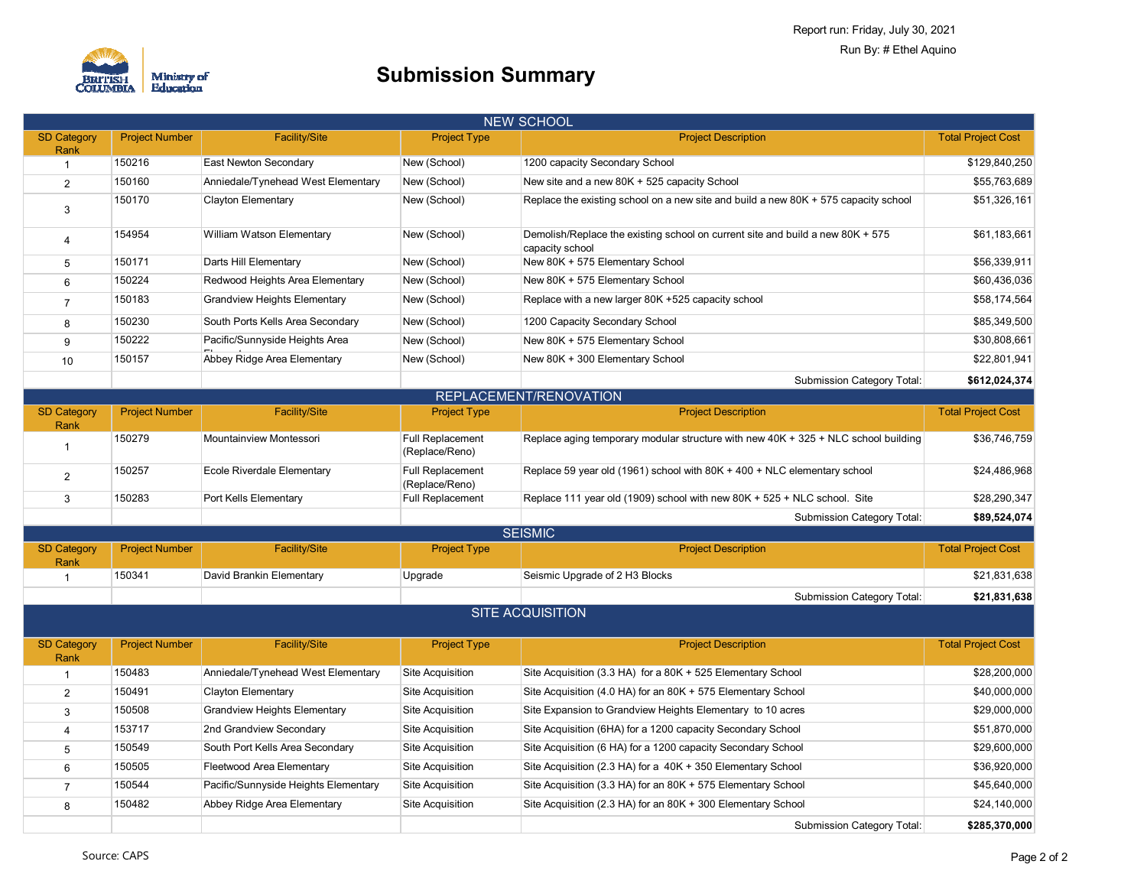

| <b>NEW SCHOOL</b>          |                       |                                      |                                           |                                                                                                   |                           |
|----------------------------|-----------------------|--------------------------------------|-------------------------------------------|---------------------------------------------------------------------------------------------------|---------------------------|
| <b>SD Category</b><br>Rank | <b>Project Number</b> | <b>Facility/Site</b>                 | <b>Project Type</b>                       | <b>Project Description</b>                                                                        | <b>Total Project Cost</b> |
| $\overline{1}$             | 150216                | East Newton Secondary                | New (School)                              | 1200 capacity Secondary School                                                                    | \$129,840,250             |
| 2                          | 150160                | Anniedale/Tynehead West Elementary   | New (School)                              | New site and a new 80K + 525 capacity School                                                      | \$55,763,689              |
| 3                          | 150170                | <b>Clayton Elementary</b>            | New (School)                              | Replace the existing school on a new site and build a new $80K + 575$ capacity school             | \$51,326,161              |
| $\overline{4}$             | 154954                | William Watson Elementary            | New (School)                              | Demolish/Replace the existing school on current site and build a new 80K + 575<br>capacity school | \$61,183,661              |
| 5                          | 150171                | Darts Hill Elementary                | New (School)                              | New 80K + 575 Elementary School                                                                   | \$56,339,911              |
| 6                          | 150224                | Redwood Heights Area Elementary      | New (School)                              | New 80K + 575 Elementary School                                                                   | \$60,436,036              |
| $\overline{7}$             | 150183                | <b>Grandview Heights Elementary</b>  | New (School)                              | Replace with a new larger 80K +525 capacity school                                                | \$58,174,564              |
| 8                          | 150230                | South Ports Kells Area Secondary     | New (School)                              | 1200 Capacity Secondary School                                                                    | \$85,349,500              |
| 9                          | 150222                | Pacific/Sunnyside Heights Area       | New (School)                              | New 80K + 575 Elementary School                                                                   | \$30,808,661              |
| 10                         | 150157                | Abbey Ridge Area Elementary          | New (School)                              | New 80K + 300 Elementary School                                                                   | \$22,801,941              |
|                            |                       |                                      |                                           | Submission Category Total:                                                                        | \$612,024,374             |
|                            |                       |                                      |                                           | REPLACEMENT/RENOVATION                                                                            |                           |
| <b>SD Category</b><br>Rank | <b>Project Number</b> | <b>Facility/Site</b>                 | <b>Project Type</b>                       | <b>Project Description</b>                                                                        | <b>Total Project Cost</b> |
| $\mathbf{1}$               | 150279                | Mountainview Montessori              | <b>Full Replacement</b><br>(Replace/Reno) | Replace aging temporary modular structure with new $40K + 325 + NLC$ school building              | \$36,746,759              |
| $\overline{2}$             | 150257                | Ecole Riverdale Elementary           | <b>Full Replacement</b><br>(Replace/Reno) | Replace 59 year old (1961) school with $80K + 400 + NLC$ elementary school                        | \$24,486,968              |
| 3                          | 150283                | Port Kells Elementary                | <b>Full Replacement</b>                   | Replace 111 year old (1909) school with new 80K + 525 + NLC school. Site                          | \$28,290,347              |
|                            |                       |                                      |                                           | <b>Submission Category Total:</b>                                                                 | \$89,524,074              |
|                            |                       |                                      |                                           | <b>SEISMIC</b>                                                                                    |                           |
| <b>SD Category</b><br>Rank | <b>Project Number</b> | <b>Facility/Site</b>                 | <b>Project Type</b>                       | <b>Project Description</b>                                                                        | <b>Total Project Cost</b> |
| $\overline{1}$             | 150341                | David Brankin Elementary             | Upgrade                                   | Seismic Upgrade of 2 H3 Blocks                                                                    | \$21,831,638              |
|                            |                       |                                      |                                           | Submission Category Total:                                                                        | \$21,831,638              |
|                            |                       |                                      |                                           | <b>SITE ACQUISITION</b>                                                                           |                           |
| <b>SD Category</b><br>Rank | <b>Project Number</b> | <b>Facility/Site</b>                 | <b>Project Type</b>                       | <b>Project Description</b>                                                                        | <b>Total Project Cost</b> |
| $\overline{1}$             | 150483                | Anniedale/Tynehead West Elementary   | Site Acquisition                          | Site Acquisition (3.3 HA) for a 80K + 525 Elementary School                                       | \$28,200,000              |
| $\overline{2}$             | 150491                | <b>Clayton Elementary</b>            | Site Acquisition                          | Site Acquisition (4.0 HA) for an 80K + 575 Elementary School                                      | \$40,000,000              |
| $\mathbf{3}$               | 150508                | <b>Grandview Heights Elementary</b>  | Site Acquisition                          | Site Expansion to Grandview Heights Elementary to 10 acres                                        | \$29,000,000              |
| $\overline{4}$             | 153717                | 2nd Grandview Secondary              | Site Acquisition                          | Site Acquisition (6HA) for a 1200 capacity Secondary School                                       | \$51,870,000              |
| 5                          | 150549                | South Port Kells Area Secondary      | Site Acquisition                          | Site Acquisition (6 HA) for a 1200 capacity Secondary School                                      | \$29,600,000              |
| 6                          | 150505                | Fleetwood Area Elementary            | Site Acquisition                          | Site Acquisition (2.3 HA) for a 40K + 350 Elementary School                                       | \$36,920,000              |
| $\overline{7}$             | 150544                | Pacific/Sunnyside Heights Elementary | Site Acquisition                          | Site Acquisition (3.3 HA) for an 80K + 575 Elementary School                                      | \$45,640,000              |
| 8                          | 150482                | Abbey Ridge Area Elementary          | Site Acquisition                          | Site Acquisition (2.3 HA) for an 80K + 300 Elementary School                                      | \$24,140,000              |
|                            |                       |                                      |                                           | <b>Submission Category Total:</b>                                                                 | \$285,370,000             |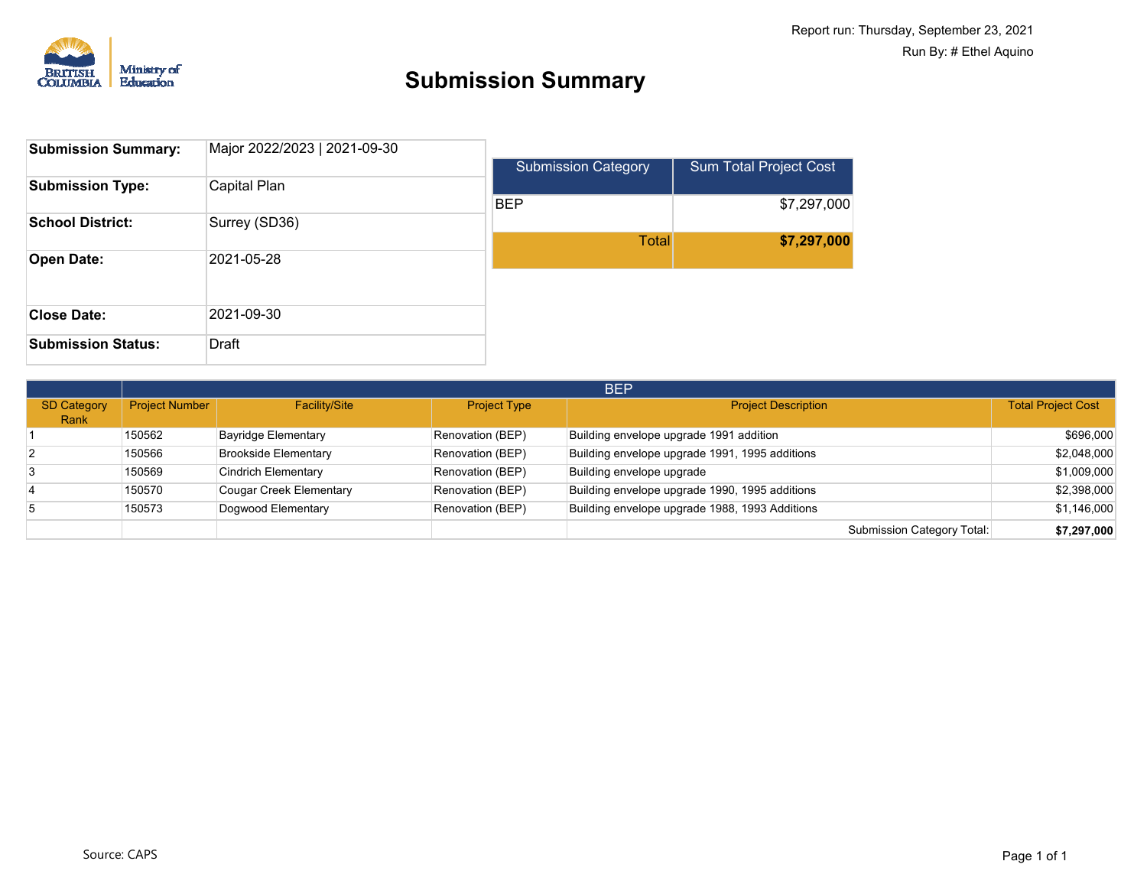

| <b>Submission Summary:</b> | Major 2022/2023   2021-09-30 |                            |                               |
|----------------------------|------------------------------|----------------------------|-------------------------------|
|                            |                              | <b>Submission Category</b> | <b>Sum Total Project Cost</b> |
| <b>Submission Type:</b>    | Capital Plan                 |                            |                               |
|                            |                              | <b>BEP</b>                 | \$7,297,000                   |
| <b>School District:</b>    | Surrey (SD36)                |                            |                               |
|                            |                              | <b>Total</b>               | \$7,297,000                   |
| <b>Open Date:</b>          | 2021-05-28                   |                            |                               |
|                            |                              |                            |                               |
|                            |                              |                            |                               |
| <b>Close Date:</b>         | 2021-09-30                   |                            |                               |
| <b>Submission Status:</b>  | Draft                        |                            |                               |

|                            | <b>BEP</b>     |                             |                     |                                                |                            |                           |
|----------------------------|----------------|-----------------------------|---------------------|------------------------------------------------|----------------------------|---------------------------|
| <b>SD Category</b><br>Rank | Project Number | <b>Facility/Site</b>        | <b>Project Type</b> | <b>Project Description</b>                     |                            | <b>Total Project Cost</b> |
|                            | 150562         | Bayridge Elementary         | Renovation (BEP)    | Building envelope upgrade 1991 addition        |                            | \$696,000                 |
|                            | 150566         | <b>Brookside Elementary</b> | Renovation (BEP)    | Building envelope upgrade 1991, 1995 additions |                            | \$2,048,000               |
|                            | 150569         | Cindrich Elementary         | Renovation (BEP)    | Building envelope upgrade                      |                            | \$1,009,000               |
|                            | 150570         | Cougar Creek Elementary     | Renovation (BEP)    | Building envelope upgrade 1990, 1995 additions |                            | \$2,398,000               |
|                            | 150573         | Dogwood Elementary          | Renovation (BEP)    | Building envelope upgrade 1988, 1993 Additions |                            | \$1,146,000               |
|                            |                |                             |                     |                                                | Submission Category Total: | \$7,297,000               |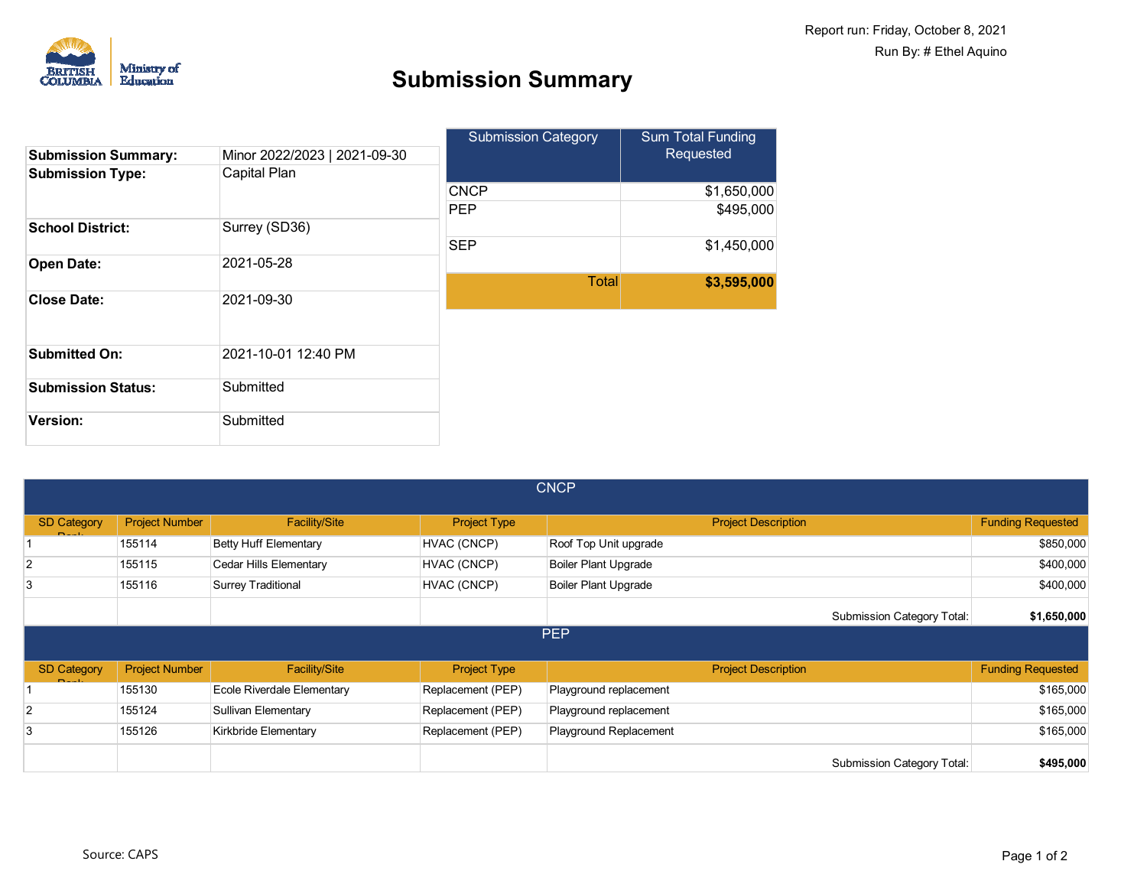

|                            |                              | <b>Submission Category</b> | <b>Sum Total Funding</b> |  |
|----------------------------|------------------------------|----------------------------|--------------------------|--|
| <b>Submission Summary:</b> | Minor 2022/2023   2021-09-30 |                            | Requested                |  |
| <b>Submission Type:</b>    | Capital Plan                 |                            |                          |  |
|                            |                              | <b>CNCP</b>                | \$1,650,000              |  |
|                            |                              | <b>PEP</b>                 | \$495,000                |  |
| <b>School District:</b>    | Surrey (SD36)                |                            |                          |  |
|                            |                              | <b>SEP</b>                 | \$1,450,000              |  |
| <b>Open Date:</b>          | 2021-05-28                   |                            |                          |  |
|                            |                              | <b>Total</b>               | \$3,595,000              |  |
| <b>Close Date:</b>         | 2021-09-30                   |                            |                          |  |
|                            |                              |                            |                          |  |
| <b>Submitted On:</b>       | 2021-10-01 12:40 PM          |                            |                          |  |
| <b>Submission Status:</b>  | Submitted                    |                            |                          |  |
| <b>Version:</b>            | Submitted                    |                            |                          |  |

| <b>CNCP</b>                   |                       |                               |                     |                                   |                          |  |
|-------------------------------|-----------------------|-------------------------------|---------------------|-----------------------------------|--------------------------|--|
| <b>SD Category</b><br>$D = 1$ | <b>Project Number</b> | <b>Facility/Site</b>          | <b>Project Type</b> | <b>Project Description</b>        | <b>Funding Requested</b> |  |
|                               | 155114                | <b>Betty Huff Elementary</b>  | HVAC (CNCP)         | Roof Top Unit upgrade             | \$850,000                |  |
| $\overline{2}$                | 155115                | <b>Cedar Hills Elementary</b> | HVAC (CNCP)         | <b>Boiler Plant Upgrade</b>       | \$400,000                |  |
| 3                             | 155116                | <b>Surrey Traditional</b>     | HVAC (CNCP)         | <b>Boiler Plant Upgrade</b>       | \$400,000                |  |
|                               |                       |                               |                     | Submission Category Total:        | \$1,650,000              |  |
|                               |                       |                               |                     | <b>PEP</b>                        |                          |  |
| <b>SD Category</b><br>$D = 1$ | <b>Project Number</b> | <b>Facility/Site</b>          | <b>Project Type</b> | <b>Project Description</b>        | <b>Funding Requested</b> |  |
|                               | 155130                | Ecole Riverdale Elementary    | Replacement (PEP)   | Playground replacement            | \$165,000                |  |
| $\overline{2}$                | 155124                | Sullivan Elementary           | Replacement (PEP)   | Playground replacement            | \$165,000                |  |
| 3                             | 155126                | Kirkbride Elementary          | Replacement (PEP)   | Playground Replacement            | \$165,000                |  |
|                               |                       |                               |                     | <b>Submission Category Total:</b> | \$495,000                |  |